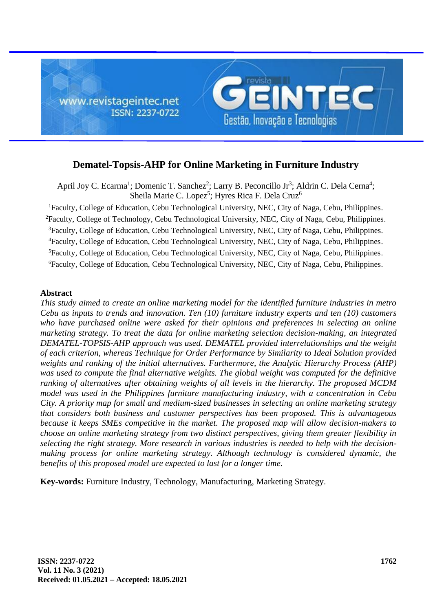

# **Dematel-Topsis-AHP for Online Marketing in Furniture Industry**

April Joy C. Ecarma<sup>1</sup>; Domenic T. Sanchez<sup>2</sup>; Larry B. Peconcillo Jr<sup>3</sup>; Aldrin C. Dela Cerna<sup>4</sup>; Sheila Marie C. Lopez<sup>5</sup>; Hyres Rica F. Dela Cruz<sup>6</sup>

<sup>1</sup>Faculty, College of Education, Cebu Technological University, NEC, City of Naga, Cebu, Philippines. <sup>2</sup>Faculty, College of Technology, Cebu Technological University, NEC, City of Naga, Cebu, Philippines. <sup>3</sup>Faculty, College of Education, Cebu Technological University, NEC, City of Naga, Cebu, Philippines. <sup>4</sup>Faculty, College of Education, Cebu Technological University, NEC, City of Naga, Cebu, Philippines. <sup>5</sup>Faculty, College of Education, Cebu Technological University, NEC, City of Naga, Cebu, Philippines. <sup>6</sup>Faculty, College of Education, Cebu Technological University, NEC, City of Naga, Cebu, Philippines.

# **Abstract**

*This study aimed to create an online marketing model for the identified furniture industries in metro Cebu as inputs to trends and innovation. Ten (10) furniture industry experts and ten (10) customers who have purchased online were asked for their opinions and preferences in selecting an online marketing strategy. To treat the data for online marketing selection decision-making, an integrated DEMATEL-TOPSIS-AHP approach was used. DEMATEL provided interrelationships and the weight of each criterion, whereas Technique for Order Performance by Similarity to Ideal Solution provided weights and ranking of the initial alternatives. Furthermore, the Analytic Hierarchy Process (AHP) was used to compute the final alternative weights. The global weight was computed for the definitive ranking of alternatives after obtaining weights of all levels in the hierarchy. The proposed MCDM model was used in the Philippines furniture manufacturing industry, with a concentration in Cebu City. A priority map for small and medium-sized businesses in selecting an online marketing strategy that considers both business and customer perspectives has been proposed. This is advantageous because it keeps SMEs competitive in the market. The proposed map will allow decision-makers to choose an online marketing strategy from two distinct perspectives, giving them greater flexibility in selecting the right strategy. More research in various industries is needed to help with the decisionmaking process for online marketing strategy. Although technology is considered dynamic, the benefits of this proposed model are expected to last for a longer time.*

**Key-words:** Furniture Industry, Technology, Manufacturing, Marketing Strategy.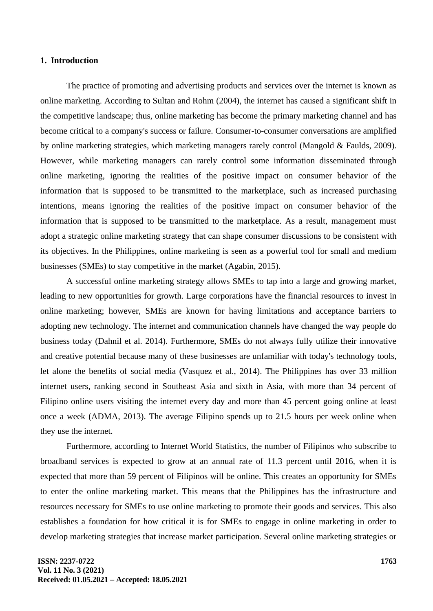# **1. Introduction**

The practice of promoting and advertising products and services over the internet is known as online marketing. According to Sultan and Rohm (2004), the internet has caused a significant shift in the competitive landscape; thus, online marketing has become the primary marketing channel and has become critical to a company's success or failure. Consumer-to-consumer conversations are amplified by online marketing strategies, which marketing managers rarely control (Mangold & Faulds, 2009). However, while marketing managers can rarely control some information disseminated through online marketing, ignoring the realities of the positive impact on consumer behavior of the information that is supposed to be transmitted to the marketplace, such as increased purchasing intentions, means ignoring the realities of the positive impact on consumer behavior of the information that is supposed to be transmitted to the marketplace. As a result, management must adopt a strategic online marketing strategy that can shape consumer discussions to be consistent with its objectives. In the Philippines, online marketing is seen as a powerful tool for small and medium businesses (SMEs) to stay competitive in the market (Agabin, 2015).

A successful online marketing strategy allows SMEs to tap into a large and growing market, leading to new opportunities for growth. Large corporations have the financial resources to invest in online marketing; however, SMEs are known for having limitations and acceptance barriers to adopting new technology. The internet and communication channels have changed the way people do business today (Dahnil et al. 2014). Furthermore, SMEs do not always fully utilize their innovative and creative potential because many of these businesses are unfamiliar with today's technology tools, let alone the benefits of social media (Vasquez et al., 2014). The Philippines has over 33 million internet users, ranking second in Southeast Asia and sixth in Asia, with more than 34 percent of Filipino online users visiting the internet every day and more than 45 percent going online at least once a week (ADMA, 2013). The average Filipino spends up to 21.5 hours per week online when they use the internet.

Furthermore, according to Internet World Statistics, the number of Filipinos who subscribe to broadband services is expected to grow at an annual rate of 11.3 percent until 2016, when it is expected that more than 59 percent of Filipinos will be online. This creates an opportunity for SMEs to enter the online marketing market. This means that the Philippines has the infrastructure and resources necessary for SMEs to use online marketing to promote their goods and services. This also establishes a foundation for how critical it is for SMEs to engage in online marketing in order to develop marketing strategies that increase market participation. Several online marketing strategies or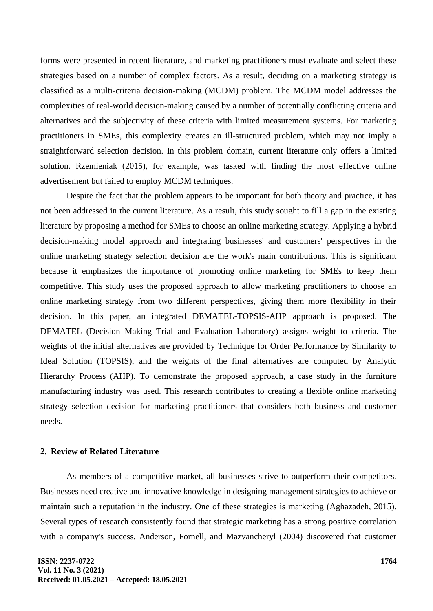forms were presented in recent literature, and marketing practitioners must evaluate and select these strategies based on a number of complex factors. As a result, deciding on a marketing strategy is classified as a multi-criteria decision-making (MCDM) problem. The MCDM model addresses the complexities of real-world decision-making caused by a number of potentially conflicting criteria and alternatives and the subjectivity of these criteria with limited measurement systems. For marketing practitioners in SMEs, this complexity creates an ill-structured problem, which may not imply a straightforward selection decision. In this problem domain, current literature only offers a limited solution. Rzemieniak (2015), for example, was tasked with finding the most effective online advertisement but failed to employ MCDM techniques.

Despite the fact that the problem appears to be important for both theory and practice, it has not been addressed in the current literature. As a result, this study sought to fill a gap in the existing literature by proposing a method for SMEs to choose an online marketing strategy. Applying a hybrid decision-making model approach and integrating businesses' and customers' perspectives in the online marketing strategy selection decision are the work's main contributions. This is significant because it emphasizes the importance of promoting online marketing for SMEs to keep them competitive. This study uses the proposed approach to allow marketing practitioners to choose an online marketing strategy from two different perspectives, giving them more flexibility in their decision. In this paper, an integrated DEMATEL-TOPSIS-AHP approach is proposed. The DEMATEL (Decision Making Trial and Evaluation Laboratory) assigns weight to criteria. The weights of the initial alternatives are provided by Technique for Order Performance by Similarity to Ideal Solution (TOPSIS), and the weights of the final alternatives are computed by Analytic Hierarchy Process (AHP). To demonstrate the proposed approach, a case study in the furniture manufacturing industry was used. This research contributes to creating a flexible online marketing strategy selection decision for marketing practitioners that considers both business and customer needs.

# **2. Review of Related Literature**

As members of a competitive market, all businesses strive to outperform their competitors. Businesses need creative and innovative knowledge in designing management strategies to achieve or maintain such a reputation in the industry. One of these strategies is marketing (Aghazadeh, 2015). Several types of research consistently found that strategic marketing has a strong positive correlation with a company's success. Anderson, Fornell, and Mazvancheryl (2004) discovered that customer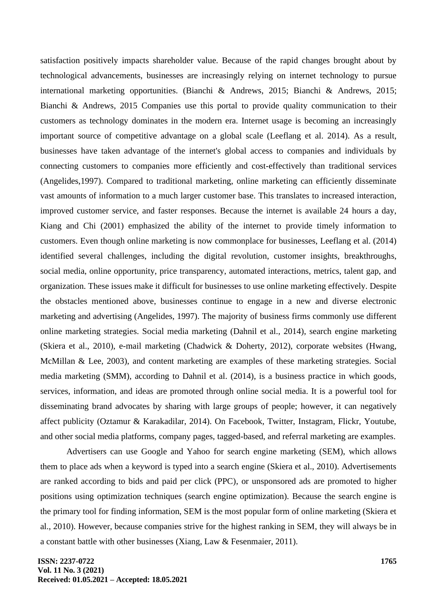satisfaction positively impacts shareholder value. Because of the rapid changes brought about by technological advancements, businesses are increasingly relying on internet technology to pursue international marketing opportunities. (Bianchi & Andrews, 2015; Bianchi & Andrews, 2015; Bianchi & Andrews, 2015 Companies use this portal to provide quality communication to their customers as technology dominates in the modern era. Internet usage is becoming an increasingly important source of competitive advantage on a global scale (Leeflang et al. 2014). As a result, businesses have taken advantage of the internet's global access to companies and individuals by connecting customers to companies more efficiently and cost-effectively than traditional services (Angelides,1997). Compared to traditional marketing, online marketing can efficiently disseminate vast amounts of information to a much larger customer base. This translates to increased interaction, improved customer service, and faster responses. Because the internet is available 24 hours a day, Kiang and Chi (2001) emphasized the ability of the internet to provide timely information to customers. Even though online marketing is now commonplace for businesses, Leeflang et al. (2014) identified several challenges, including the digital revolution, customer insights, breakthroughs, social media, online opportunity, price transparency, automated interactions, metrics, talent gap, and organization. These issues make it difficult for businesses to use online marketing effectively. Despite the obstacles mentioned above, businesses continue to engage in a new and diverse electronic marketing and advertising (Angelides, 1997). The majority of business firms commonly use different online marketing strategies. Social media marketing (Dahnil et al., 2014), search engine marketing (Skiera et al., 2010), e-mail marketing (Chadwick & Doherty, 2012), corporate websites (Hwang, McMillan & Lee, 2003), and content marketing are examples of these marketing strategies. Social media marketing (SMM), according to Dahnil et al. (2014), is a business practice in which goods, services, information, and ideas are promoted through online social media. It is a powerful tool for disseminating brand advocates by sharing with large groups of people; however, it can negatively affect publicity (Oztamur & Karakadilar, 2014). On Facebook, Twitter, Instagram, Flickr, Youtube, and other social media platforms, company pages, tagged-based, and referral marketing are examples.

Advertisers can use Google and Yahoo for search engine marketing (SEM), which allows them to place ads when a keyword is typed into a search engine (Skiera et al., 2010). Advertisements are ranked according to bids and paid per click (PPC), or unsponsored ads are promoted to higher positions using optimization techniques (search engine optimization). Because the search engine is the primary tool for finding information, SEM is the most popular form of online marketing (Skiera et al., 2010). However, because companies strive for the highest ranking in SEM, they will always be in a constant battle with other businesses (Xiang, Law & Fesenmaier, 2011).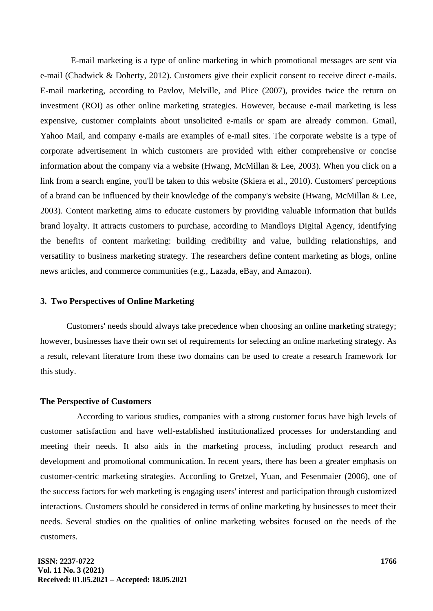E-mail marketing is a type of online marketing in which promotional messages are sent via e-mail (Chadwick & Doherty, 2012). Customers give their explicit consent to receive direct e-mails. E-mail marketing, according to Pavlov, Melville, and Plice (2007), provides twice the return on investment (ROI) as other online marketing strategies. However, because e-mail marketing is less expensive, customer complaints about unsolicited e-mails or spam are already common. Gmail, Yahoo Mail, and company e-mails are examples of e-mail sites. The corporate website is a type of corporate advertisement in which customers are provided with either comprehensive or concise information about the company via a website (Hwang, McMillan & Lee, 2003). When you click on a link from a search engine, you'll be taken to this website (Skiera et al., 2010). Customers' perceptions of a brand can be influenced by their knowledge of the company's website (Hwang, McMillan & Lee, 2003). Content marketing aims to educate customers by providing valuable information that builds brand loyalty. It attracts customers to purchase, according to Mandloys Digital Agency, identifying the benefits of content marketing: building credibility and value, building relationships, and versatility to business marketing strategy. The researchers define content marketing as blogs, online news articles, and commerce communities (e.g., Lazada, eBay, and Amazon).

#### **3. Two Perspectives of Online Marketing**

Customers' needs should always take precedence when choosing an online marketing strategy; however, businesses have their own set of requirements for selecting an online marketing strategy. As a result, relevant literature from these two domains can be used to create a research framework for this study.

#### **The Perspective of Customers**

According to various studies, companies with a strong customer focus have high levels of customer satisfaction and have well-established institutionalized processes for understanding and meeting their needs. It also aids in the marketing process, including product research and development and promotional communication. In recent years, there has been a greater emphasis on customer-centric marketing strategies. According to Gretzel, Yuan, and Fesenmaier (2006), one of the success factors for web marketing is engaging users' interest and participation through customized interactions. Customers should be considered in terms of online marketing by businesses to meet their needs. Several studies on the qualities of online marketing websites focused on the needs of the customers.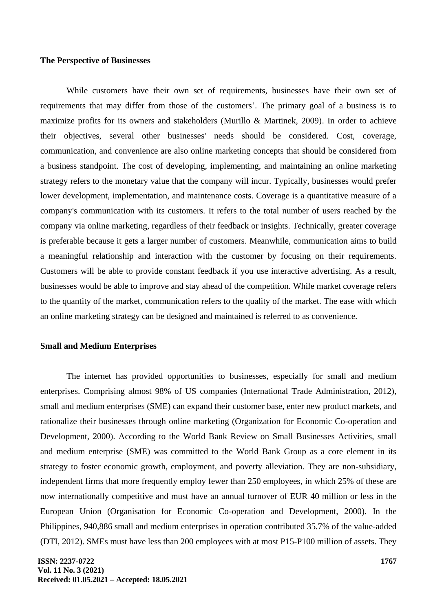# **The Perspective of Businesses**

While customers have their own set of requirements, businesses have their own set of requirements that may differ from those of the customers'. The primary goal of a business is to maximize profits for its owners and stakeholders (Murillo & Martinek, 2009). In order to achieve their objectives, several other businesses' needs should be considered. Cost, coverage, communication, and convenience are also online marketing concepts that should be considered from a business standpoint. The cost of developing, implementing, and maintaining an online marketing strategy refers to the monetary value that the company will incur. Typically, businesses would prefer lower development, implementation, and maintenance costs. Coverage is a quantitative measure of a company's communication with its customers. It refers to the total number of users reached by the company via online marketing, regardless of their feedback or insights. Technically, greater coverage is preferable because it gets a larger number of customers. Meanwhile, communication aims to build a meaningful relationship and interaction with the customer by focusing on their requirements. Customers will be able to provide constant feedback if you use interactive advertising. As a result, businesses would be able to improve and stay ahead of the competition. While market coverage refers to the quantity of the market, communication refers to the quality of the market. The ease with which an online marketing strategy can be designed and maintained is referred to as convenience.

#### **Small and Medium Enterprises**

The internet has provided opportunities to businesses, especially for small and medium enterprises. Comprising almost 98% of US companies (International Trade Administration, 2012), small and medium enterprises (SME) can expand their customer base, enter new product markets, and rationalize their businesses through online marketing (Organization for Economic Co-operation and Development, 2000). According to the World Bank Review on Small Businesses Activities, small and medium enterprise (SME) was committed to the World Bank Group as a core element in its strategy to foster economic growth, employment, and poverty alleviation. They are non-subsidiary, independent firms that more frequently employ fewer than 250 employees, in which 25% of these are now internationally competitive and must have an annual turnover of EUR 40 million or less in the European Union (Organisation for Economic Co-operation and Development, 2000). In the Philippines, 940,886 small and medium enterprises in operation contributed 35.7% of the value-added (DTI, 2012). SMEs must have less than 200 employees with at most P15-P100 million of assets. They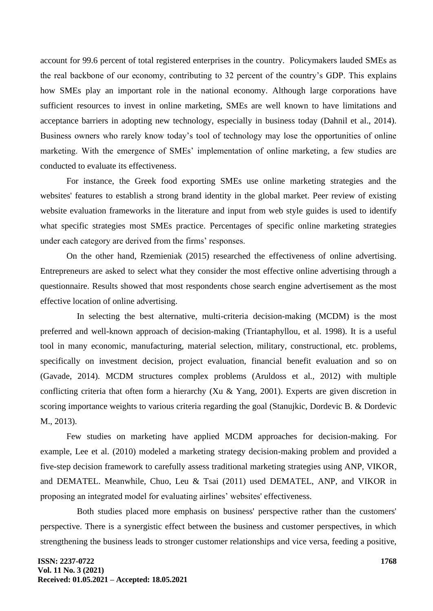account for 99.6 percent of total registered enterprises in the country. Policymakers lauded SMEs as the real backbone of our economy, contributing to 32 percent of the country's GDP. This explains how SMEs play an important role in the national economy. Although large corporations have sufficient resources to invest in online marketing, SMEs are well known to have limitations and acceptance barriers in adopting new technology, especially in business today (Dahnil et al., 2014). Business owners who rarely know today's tool of technology may lose the opportunities of online marketing. With the emergence of SMEs' implementation of online marketing, a few studies are conducted to evaluate its effectiveness.

For instance, the Greek food exporting SMEs use online marketing strategies and the websites' features to establish a strong brand identity in the global market. Peer review of existing website evaluation frameworks in the literature and input from web style guides is used to identify what specific strategies most SMEs practice. Percentages of specific online marketing strategies under each category are derived from the firms' responses.

On the other hand, Rzemieniak (2015) researched the effectiveness of online advertising. Entrepreneurs are asked to select what they consider the most effective online advertising through a questionnaire. Results showed that most respondents chose search engine advertisement as the most effective location of online advertising.

In selecting the best alternative, multi-criteria decision-making (MCDM) is the most preferred and well-known approach of decision-making (Triantaphyllou, et al. 1998). It is a useful tool in many economic, manufacturing, material selection, military, constructional, etc. problems, specifically on investment decision, project evaluation, financial benefit evaluation and so on (Gavade, 2014). MCDM structures complex problems (Aruldoss et al., 2012) with multiple conflicting criteria that often form a hierarchy (Xu & Yang, 2001). Experts are given discretion in scoring importance weights to various criteria regarding the goal (Stanujkic, Dordevic B. & Dordevic M., 2013).

Few studies on marketing have applied MCDM approaches for decision-making. For example, Lee et al. (2010) modeled a marketing strategy decision-making problem and provided a five-step decision framework to carefully assess traditional marketing strategies using ANP, VIKOR, and DEMATEL. Meanwhile, Chuo, Leu & Tsai (2011) used DEMATEL, ANP, and VIKOR in proposing an integrated model for evaluating airlines' websites' effectiveness.

Both studies placed more emphasis on business' perspective rather than the customers' perspective. There is a synergistic effect between the business and customer perspectives, in which strengthening the business leads to stronger customer relationships and vice versa, feeding a positive,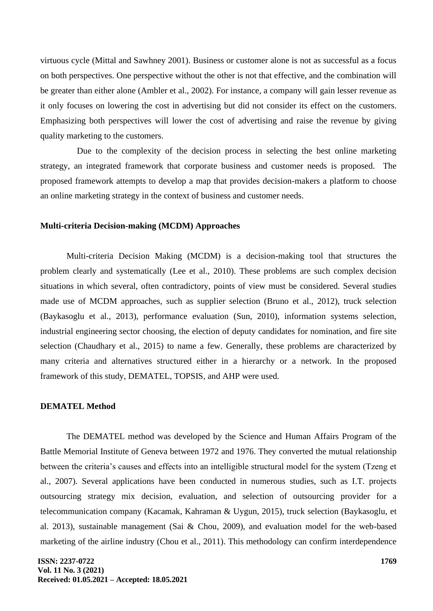virtuous cycle (Mittal and Sawhney 2001). Business or customer alone is not as successful as a focus on both perspectives. One perspective without the other is not that effective, and the combination will be greater than either alone (Ambler et al., 2002). For instance, a company will gain lesser revenue as it only focuses on lowering the cost in advertising but did not consider its effect on the customers. Emphasizing both perspectives will lower the cost of advertising and raise the revenue by giving quality marketing to the customers.

Due to the complexity of the decision process in selecting the best online marketing strategy, an integrated framework that corporate business and customer needs is proposed. The proposed framework attempts to develop a map that provides decision-makers a platform to choose an online marketing strategy in the context of business and customer needs.

# **Multi-criteria Decision-making (MCDM) Approaches**

Multi-criteria Decision Making (MCDM) is a decision-making tool that structures the problem clearly and systematically (Lee et al., 2010). These problems are such complex decision situations in which several, often contradictory, points of view must be considered. Several studies made use of MCDM approaches, such as supplier selection (Bruno et al., 2012), truck selection (Baykasoglu et al., 2013), performance evaluation (Sun, 2010), information systems selection, industrial engineering sector choosing, the election of deputy candidates for nomination, and fire site selection (Chaudhary et al., 2015) to name a few. Generally, these problems are characterized by many criteria and alternatives structured either in a hierarchy or a network. In the proposed framework of this study, DEMATEL, TOPSIS, and AHP were used.

#### **DEMATEL Method**

The DEMATEL method was developed by the Science and Human Affairs Program of the Battle Memorial Institute of Geneva between 1972 and 1976. They converted the mutual relationship between the criteria's causes and effects into an intelligible structural model for the system (Tzeng et al., 2007). Several applications have been conducted in numerous studies, such as I.T. projects outsourcing strategy mix decision, evaluation, and selection of outsourcing provider for a telecommunication company (Kacamak, Kahraman & Uygun, 2015), truck selection (Baykasoglu, et al. 2013), sustainable management (Sai & Chou, 2009), and evaluation model for the web-based marketing of the airline industry (Chou et al., 2011). This methodology can confirm interdependence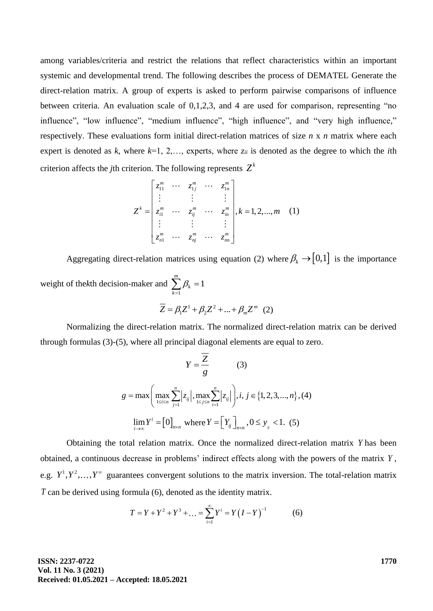among variables/criteria and restrict the relations that reflect characteristics within an important systemic and developmental trend. The following describes the process of DEMATEL Generate the direct-relation matrix. A group of experts is asked to perform pairwise comparisons of influence between criteria. An evaluation scale of 0,1,2,3, and 4 are used for comparison, representing "no influence", "low influence", "medium influence", "high influence", and "very high influence," respectively. These evaluations form initial direct-relation matrices of size *n* x *n* matrix where each expert is denoted as  $k$ , where  $k=1, 2,...$ , experts, where  $z_{ii}$  is denoted as the degree to which the *i*th criterion affects the *j*th criterion. The following represents  $Z^k$ <br> $\begin{bmatrix} z_1^m & \cdots & z_{1j}^m & \cdots & z_{1n}^m \end{bmatrix}$ 

$$
Z^{k} = \begin{bmatrix} z_{11}^{m} & \cdots & z_{1j}^{m} & \cdots & z_{1n}^{m} \\ \vdots & \vdots & & \vdots \\ z_{i1}^{m} & \cdots & z_{ij}^{m} & \cdots & z_{in}^{m} \\ \vdots & & \vdots & & \vdots \\ z_{n1}^{m} & \cdots & z_{nj}^{m} & \cdots & z_{nn}^{m} \end{bmatrix}, k = 1, 2, ..., m \quad (1)
$$

Aggregating direct-relation matrices using equation (2) where  $\beta_k \rightarrow [0,1]$  is the importance weight of the*k*th decision-maker and 1  $\sum_{k=1}^{m} \beta_k = 1$ *k k*  $\beta_i$  $\sum_{k=1}^m \beta_k =$ 

$$
\overline{Z} = \beta_1 Z^1 + \beta_2 Z^2 + \dots + \beta_m Z^m
$$
 (2)

Normalizing the direct-relation matrix. The normalized direct-relation matrix can be derived through formulas (3)-(5), where all principal diagonal elements are equal to zero.

$$
Y = \frac{Z}{g}
$$
 (3)  

$$
g = \max \left( \max_{1 \le i \le n} \sum_{j=1}^{n} |z_{ij}|, \max_{1 \le j \le n} \sum_{i=1}^{n} |z_{ij}| \right), i, j \in \{1, 2, 3, ..., n\}, (4)
$$
  

$$
\lim_{i \to \infty} Y^{i} = [0]_{n \times n} \text{ where } Y = [Y_{ij}]_{n \times n}, 0 \le y_{ij} < 1. (5)
$$

Obtaining the total relation matrix. Once the normalized direct-relation matrix *Y* has been obtained, a continuous decrease in problems' indirect effects along with the powers of the matrix *Y* , e.g.  $Y^1, Y^2, \ldots, Y^{\infty}$  guarantees convergent solutions to the matrix inversion. The total-relation matrix *T* can be derived using formula (6), denoted as the identity matrix.

$$
T = Y + Y^{2} + Y^{3} + \dots = \sum_{i=1}^{\infty} Y^{i} = Y (I - Y)^{-1}
$$
 (6)

**ISSN: 2237-0722 Vol. 11 No. 3 (2021) Received: 01.05.2021 – Accepted: 18.05.2021**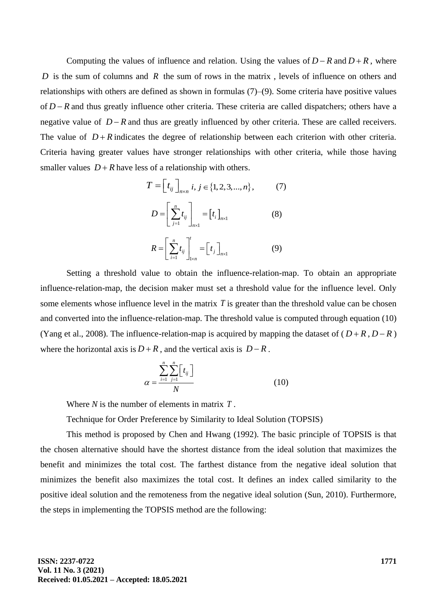Computing the values of influence and relation. Using the values of  $D - R$  and  $D + R$ , where D is the sum of columns and R the sum of rows in the matrix, levels of influence on others and relationships with others are defined as shown in formulas (7)–(9). Some criteria have positive values of *D* − R and thus greatly influence other criteria. These criteria are called dispatchers; others have a negative value of *D*−*R* and thus are greatly influenced by other criteria. These are called receivers. The value of  $D + R$  indicates the degree of relationship between each criterion with other criteria. Criteria having greater values have stronger relationships with other criteria, while those having smaller values  $D + R$  have less of a relationship with others.

$$
T = \left[ t_{ij} \right]_{n \times n} i, j \in \{1, 2, 3, ..., n\}, \qquad (7)
$$

$$
D = \left[ \sum_{j=1}^{n} t_{ij} \right]_{n \times 1} = \left[ t_{i} \right]_{n \times 1} \qquad (8)
$$

$$
P = \left[ \sum_{j=1}^{n} t_{ij} \right]_{n \times 1} \qquad (9)
$$

$$
R = \left[ \sum_{i=1}^{n} t_{ij} \right]_{1 \times n} = \left[ t_{j} \right]_{n \times 1} \tag{9}
$$

Setting a threshold value to obtain the influence-relation-map. To obtain an appropriate influence-relation-map, the decision maker must set a threshold value for the influence level. Only some elements whose influence level in the matrix *T* is greater than the threshold value can be chosen and converted into the influence-relation-map. The threshold value is computed through equation (10) (Yang et al., 2008). The influence-relation-map is acquired by mapping the dataset of  $(D+R, D-R)$ where the horizontal axis is  $D + R$ , and the vertical axis is  $D - R$ .

$$
\alpha = \frac{\sum_{i=1}^{n} \sum_{j=1}^{n} \left[t_{ij}\right]}{N} \tag{10}
$$

Where *N* is the number of elements in matrix *T* .

Technique for Order Preference by Similarity to Ideal Solution (TOPSIS)

This method is proposed by Chen and Hwang (1992). The basic principle of TOPSIS is that the chosen alternative should have the shortest distance from the ideal solution that maximizes the benefit and minimizes the total cost. The farthest distance from the negative ideal solution that minimizes the benefit also maximizes the total cost. It defines an index called similarity to the positive ideal solution and the remoteness from the negative ideal solution (Sun, 2010). Furthermore, the steps in implementing the TOPSIS method are the following: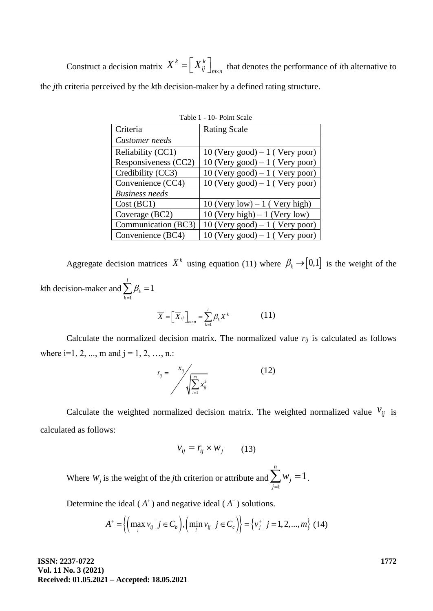Construct a decision matrix  $X^k = \left| X^k_{ij} \right|$  $X^k = \left[ X^k_{ij} \right]_{m \times n}$  that denotes the performance of *i*th alternative to the *j*th criteria perceived by the *k*th decision-maker by a defined rating structure.

| Criteria              | <b>Rating Scale</b>              |
|-----------------------|----------------------------------|
| Customer needs        |                                  |
| Reliability (CC1)     | 10 (Very good) $-1$ (Very poor)  |
| Responsiveness (CC2)  | $10$ (Very good) – 1 (Very poor) |
| Credibility (CC3)     | 10 (Very good) $-1$ (Very poor)  |
| Convenience (CC4)     | $10$ (Very good) – 1 (Very poor) |
| <b>Business needs</b> |                                  |
| Cost (BC1)            | 10 (Very low) $-1$ (Very high)   |
| Coverage (BC2)        | 10 (Very high) $-1$ (Very low)   |
| Communication (BC3)   | 10 (Very good) $-1$ (Very poor)  |
| Convenience (BC4)     | 10 (Very good) $-1$ (Very poor)  |

| Table 1 - 10- Point Scale |  |  |  |
|---------------------------|--|--|--|
|---------------------------|--|--|--|

Aggregate decision matrices  $X^k$  using equation (11) where  $\beta_k \rightarrow [0,1]$  is the weight of the *k*th decision-maker and 1 1 *l k k*  $\beta_i$  $\sum_{k=1} \beta_k =$ 

$$
\overline{X} = \left[ \overline{X}_{ij} \right]_{m \times n} = \sum_{k=1}^{l} \beta_k X^k \tag{11}
$$

Calculate the normalized decision matrix. The normalized value  $r_{ij}$  is calculated as follows where  $i=1, 2, ..., m$  and  $j = 1, 2, ..., n$ .

$$
r_{ij} = \frac{x_{ij}}{\sqrt{\sum_{i=1}^{m} x_{ij}^2}}
$$
(12)

Calculate the weighted normalized decision matrix. The weighted normalized value  $v_{ij}$  is calculated as follows:

$$
v_{ij} = r_{ij} \times w_j \qquad (13)
$$

Where  $W_j$  is the weight of the *j*th criterion or attribute and 1 1 *n j j w*  $\sum_{j=1}^{\infty} w_j = 1$ .

Determine the ideal 
$$
(A^+)
$$
 and negative ideal  $(A^-)$  solutions.  
\n
$$
A^+ = \left\{ \left( \max_i v_{ij} \mid j \in C_b \right), \left( \min_i v_{ij} \mid j \in C_c \right) \right\} = \left\{ v_j^+ \mid j = 1, 2, ..., m \right\} (14)
$$

**ISSN: 2237-0722 Vol. 11 No. 3 (2021) Received: 01.05.2021 – Accepted: 18.05.2021**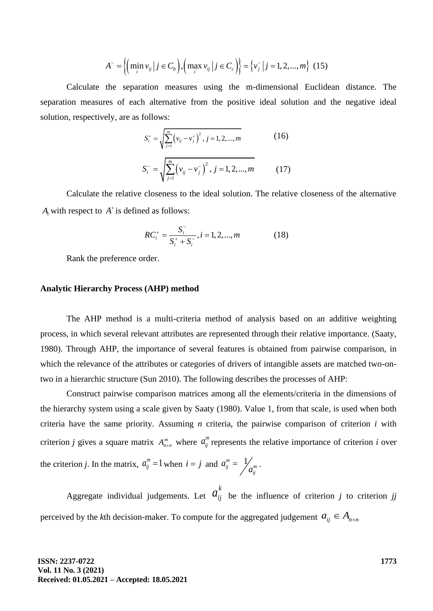$$
A^{-} = \left\{ \left( \min_{i} v_{ij} \, \middle| \, j \in C_{b} \right), \left( \max_{i} v_{ij} \, \middle| \, j \in C_{c} \right) \right\} = \left\{ v_{j}^{-} \, \middle| \, j = 1, 2, ..., m \right\} \tag{15}
$$

Calculate the separation measures using the m-dimensional Euclidean distance. The separation measures of each alternative from the positive ideal solution and the negative ideal solution, respectively, are as follows:

$$
S_i^+ = \sqrt{\sum_{j=1}^m (v_{ij} - v_j^+)^2}, j = 1, 2, ..., m
$$
 (16)  

$$
S_i^- = \sqrt{\sum_{j=1}^m (v_{ij} - v_j^-)^2}, j = 1, 2, ..., m
$$
 (17)

Calculate the relative closeness to the ideal solution. The relative closeness of the alternative  $A_i$  with respect to  $A^+$  is defined as follows:

$$
RC_i^+ = \frac{S_i^-}{S_i^+ + S_i^-}, i = 1, 2, ..., m
$$
 (18)

Rank the preference order.

#### **Analytic Hierarchy Process (AHP) method**

The AHP method is a multi-criteria method of analysis based on an additive weighting process, in which several relevant attributes are represented through their relative importance. (Saaty, 1980). Through AHP, the importance of several features is obtained from pairwise comparison, in which the relevance of the attributes or categories of drivers of intangible assets are matched two-ontwo in a hierarchic structure (Sun 2010). The following describes the processes of AHP:

 $\left\{\left(\min v_y\right|j \in C_5\right), \left(\max v_y\right|j \in C_c\right\}\right\} = \left\{v_y\right|j = 1, 2, ..., m\right\}$  (15)<br>
separation measures using the an-dimensional Euclidean distance. The<br>
cuch alternative from the positive ideal solution and the negative ideal<br>
re Construct pairwise comparison matrices among all the elements/criteria in the dimensions of the hierarchy system using a scale given by Saaty (1980). Value 1, from that scale, is used when both criteria have the same priority. Assuming *n* criteria, the pairwise comparison of criterion *i* with criterion *j* gives a square matrix  $A_{n \times n}^m$  where  $a_{ij}^m$  represents the relative importance of criterion *i* over the criterion *j*. In the matrix,  $a_{ij}^m = 1$  when  $i = j$  and  $a_{ij}^m = \frac{1}{a_{ij}^m}$  $a_{ij}^m = \frac{1}{a_{ii}^m}$ .

Aggregate individual judgements. Let  $a_{ij}^k$  be the influence of criterion *j* to criterion *jj* perceived by the *k*th decision-maker. To compute for the aggregated judgement  $a_{ij} \in A_{n \times n}$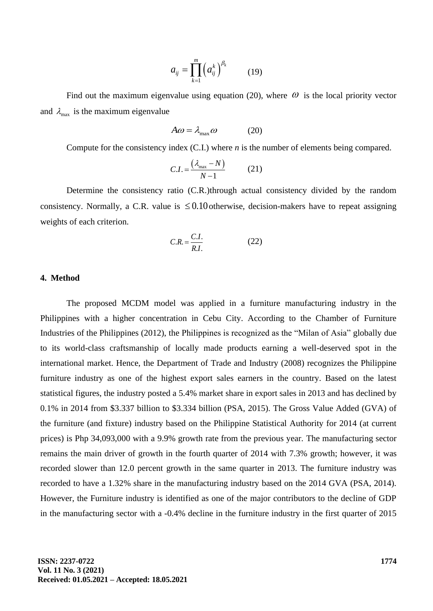$$
a_{ij} = \prod_{k=1}^{m} \left( a_{ij}^{k} \right)^{\beta_k} \qquad (19)
$$

Find out the maximum eigenvalue using equation (20), where  $\omega$  is the local priority vector and  $\lambda_{\text{max}}$  is the maximum eigenvalue

$$
A\omega = \lambda_{\text{max}}\omega \tag{20}
$$

Compute for the consistency index (C.I.) where *n* is the number of elements being compared.

$$
C.I. = \frac{(\lambda_{\text{max}} - N)}{N - 1} \tag{21}
$$

Determine the consistency ratio (C.R.)through actual consistency divided by the random consistency. Normally, a C.R. value is  $\leq 0.10$  otherwise, decision-makers have to repeat assigning weights of each criterion.

$$
C.R. = \frac{C.I.}{R.I.} \tag{22}
$$

# **4. Method**

The proposed MCDM model was applied in a furniture manufacturing industry in the Philippines with a higher concentration in Cebu City. According to the Chamber of Furniture Industries of the Philippines (2012), the Philippines is recognized as the "Milan of Asia" globally due to its world-class craftsmanship of locally made products earning a well-deserved spot in the international market. Hence, the Department of Trade and Industry (2008) recognizes the Philippine furniture industry as one of the highest export sales earners in the country. Based on the latest statistical figures, the industry posted a 5.4% market share in export sales in 2013 and has declined by 0.1% in 2014 from \$3.337 billion to \$3.334 billion (PSA, 2015). The Gross Value Added (GVA) of the furniture (and fixture) industry based on the Philippine Statistical Authority for 2014 (at current prices) is Php 34,093,000 with a 9.9% growth rate from the previous year. The manufacturing sector remains the main driver of growth in the fourth quarter of 2014 with 7.3% growth; however, it was recorded slower than 12.0 percent growth in the same quarter in 2013. The furniture industry was recorded to have a 1.32% share in the manufacturing industry based on the 2014 GVA (PSA, 2014). However, the Furniture industry is identified as one of the major contributors to the decline of GDP in the manufacturing sector with a -0.4% decline in the furniture industry in the first quarter of 2015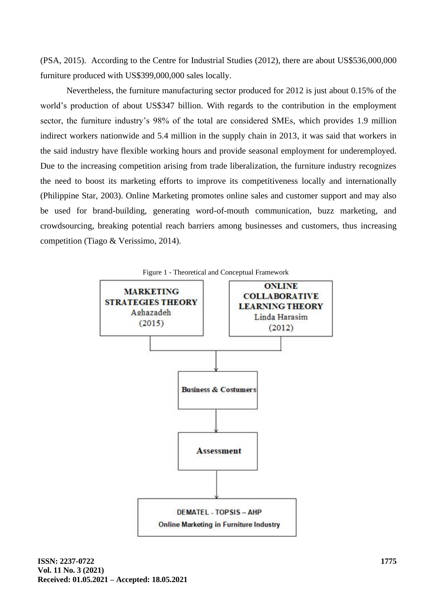(PSA, 2015). According to the Centre for Industrial Studies (2012), there are about US\$536,000,000 furniture produced with US\$399,000,000 sales locally.

Nevertheless, the furniture manufacturing sector produced for 2012 is just about 0.15% of the world's production of about US\$347 billion. With regards to the contribution in the employment sector, the furniture industry's 98% of the total are considered SMEs, which provides 1.9 million indirect workers nationwide and 5.4 million in the supply chain in 2013, it was said that workers in the said industry have flexible working hours and provide seasonal employment for underemployed. Due to the increasing competition arising from trade liberalization, the furniture industry recognizes the need to boost its marketing efforts to improve its competitiveness locally and internationally (Philippine Star, 2003). Online Marketing promotes online sales and customer support and may also be used for brand-building, generating word-of-mouth communication, buzz marketing, and crowdsourcing, breaking potential reach barriers among businesses and customers, thus increasing competition (Tiago & Verissimo, 2014).

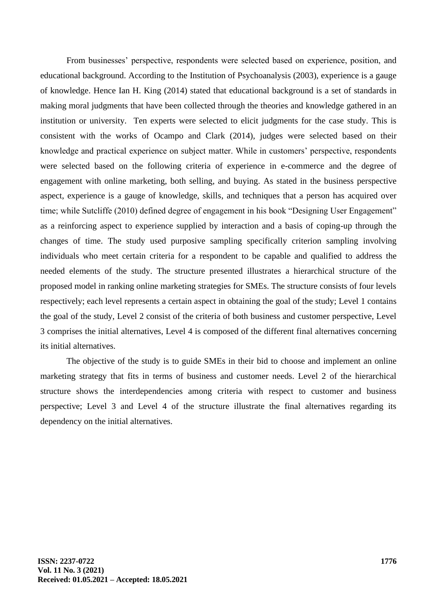From businesses' perspective, respondents were selected based on experience, position, and educational background. According to the Institution of Psychoanalysis (2003), experience is a gauge of knowledge. Hence Ian H. King (2014) stated that educational background is a set of standards in making moral judgments that have been collected through the theories and knowledge gathered in an institution or university. Ten experts were selected to elicit judgments for the case study. This is consistent with the works of Ocampo and Clark (2014), judges were selected based on their knowledge and practical experience on subject matter. While in customers' perspective, respondents were selected based on the following criteria of experience in e-commerce and the degree of engagement with online marketing, both selling, and buying. As stated in the business perspective aspect, experience is a gauge of knowledge, skills, and techniques that a person has acquired over time; while Sutcliffe (2010) defined degree of engagement in his book "Designing User Engagement" as a reinforcing aspect to experience supplied by interaction and a basis of coping-up through the changes of time. The study used purposive sampling specifically criterion sampling involving individuals who meet certain criteria for a respondent to be capable and qualified to address the needed elements of the study. The structure presented illustrates a hierarchical structure of the proposed model in ranking online marketing strategies for SMEs. The structure consists of four levels respectively; each level represents a certain aspect in obtaining the goal of the study; Level 1 contains the goal of the study, Level 2 consist of the criteria of both business and customer perspective, Level 3 comprises the initial alternatives, Level 4 is composed of the different final alternatives concerning its initial alternatives.

The objective of the study is to guide SMEs in their bid to choose and implement an online marketing strategy that fits in terms of business and customer needs. Level 2 of the hierarchical structure shows the interdependencies among criteria with respect to customer and business perspective; Level 3 and Level 4 of the structure illustrate the final alternatives regarding its dependency on the initial alternatives.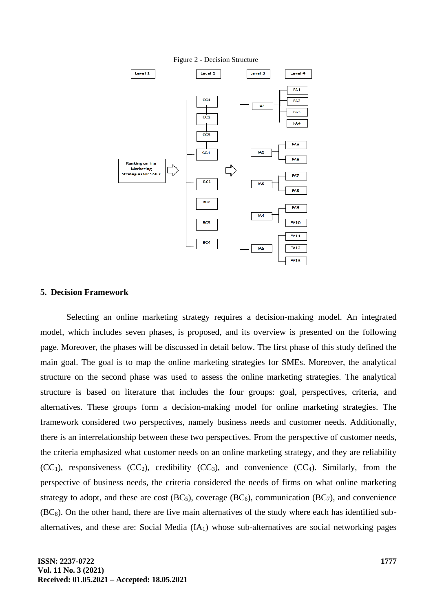

Figure 2 - Decision Structure

# **5. Decision Framework**

Selecting an online marketing strategy requires a decision-making model. An integrated model, which includes seven phases, is proposed, and its overview is presented on the following page. Moreover, the phases will be discussed in detail below. The first phase of this study defined the main goal. The goal is to map the online marketing strategies for SMEs. Moreover, the analytical structure on the second phase was used to assess the online marketing strategies. The analytical structure is based on literature that includes the four groups: goal, perspectives, criteria, and alternatives. These groups form a decision-making model for online marketing strategies. The framework considered two perspectives, namely business needs and customer needs. Additionally, there is an interrelationship between these two perspectives. From the perspective of customer needs, the criteria emphasized what customer needs on an online marketing strategy, and they are reliability  $(CC<sub>1</sub>)$ , responsiveness  $(CC<sub>2</sub>)$ , credibility  $(CC<sub>3</sub>)$ , and convenience  $(CC<sub>4</sub>)$ . Similarly, from the perspective of business needs, the criteria considered the needs of firms on what online marketing strategy to adopt, and these are cost  $(BC_5)$ , coverage  $(BC_6)$ , communication  $(BC_7)$ , and convenience  $(BC_8)$ . On the other hand, there are five main alternatives of the study where each has identified subalternatives, and these are: Social Media (IA1) whose sub-alternatives are social networking pages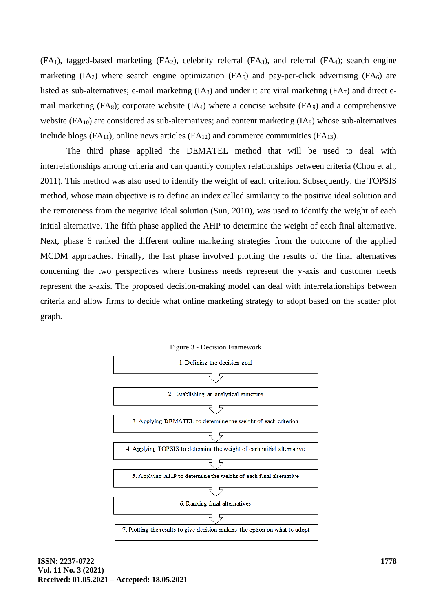$(FA_1)$ , tagged-based marketing  $(FA_2)$ , celebrity referral  $(FA_3)$ , and referral  $(FA_4)$ ; search engine marketing  $(IA_2)$  where search engine optimization  $(FA_5)$  and pay-per-click advertising  $(FA_6)$  are listed as sub-alternatives; e-mail marketing (IA<sub>3</sub>) and under it are viral marketing (FA<sub>7</sub>) and direct email marketing  $(FA_8)$ ; corporate website  $(IA_4)$  where a concise website  $(FA_9)$  and a comprehensive website  $(FA_{10})$  are considered as sub-alternatives; and content marketing  $(IA_5)$  whose sub-alternatives include blogs  $(FA_{11})$ , online news articles  $(FA_{12})$  and commerce communities  $(FA_{13})$ .

The third phase applied the DEMATEL method that will be used to deal with interrelationships among criteria and can quantify complex relationships between criteria (Chou et al., 2011). This method was also used to identify the weight of each criterion. Subsequently, the TOPSIS method, whose main objective is to define an index called similarity to the positive ideal solution and the remoteness from the negative ideal solution (Sun, 2010), was used to identify the weight of each initial alternative. The fifth phase applied the AHP to determine the weight of each final alternative. Next, phase 6 ranked the different online marketing strategies from the outcome of the applied MCDM approaches. Finally, the last phase involved plotting the results of the final alternatives concerning the two perspectives where business needs represent the y-axis and customer needs represent the x-axis. The proposed decision-making model can deal with interrelationships between criteria and allow firms to decide what online marketing strategy to adopt based on the scatter plot graph.

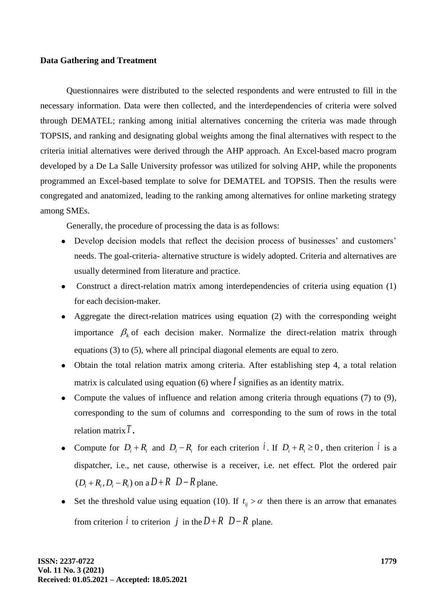# **Data Gathering and Treatment**

Questionnaires were distributed to the selected respondents and were entrusted to fill in the necessary information. Data were then collected, and the interdependencies of criteria were solved through DEMATEL; ranking among initial alternatives concerning the criteria was made through TOPSIS, and ranking and designating global weights among the final alternatives with respect to the criteria initial alternatives were derived through the AHP approach. An Excel-based macro program developed by a De La Salle University professor was utilized for solving AHP, while the proponents programmed an Excel-based template to solve for DEMATEL and TOPSIS. Then the results were congregated and anatomized, leading to the ranking among alternatives for online marketing strategy among SMEs.

Generally, the procedure of processing the data is as follows:

- ⚫ Develop decision models that reflect the decision process of businesses' and customers' needs. The goal-criteria- alternative structure is widely adopted. Criteria and alternatives are usually determined from literature and practice.
- ⚫ Construct a direct-relation matrix among interdependencies of criteria using equation (1) for each decision-maker.
- ⚫ Aggregate the direct-relation matrices using equation (2) with the corresponding weight importance  $\beta_k$  of each decision maker. Normalize the direct-relation matrix through equations (3) to (5), where all principal diagonal elements are equal to zero.
- ⚫ Obtain the total relation matrix among criteria. After establishing step 4, a total relation matrix is calculated using equation (6) where *I* signifies as an identity matrix.
- Compute the values of influence and relation among criteria through equations (7) to (9), corresponding to the sum of columns and corresponding to the sum of rows in the total relation matrix *T .*
- Compute for  $D_i + R_i$  and  $D_i R_i$  for each criterion *i*. If  $D_i + R_i \ge 0$ , then criterion *i* is a dispatcher, i.e., net cause, otherwise is a receiver, i.e. net effect. Plot the ordered pair  $(D_i + R_i, D_i - R_i)$  on a  $D + R$   $D - R$  plane.
- Set the threshold value using equation (10). If  $t_{ij} > \alpha$  then there is an arrow that emanates from criterion *i* to criterion *j* in the  $D + R$   $D - R$  plane.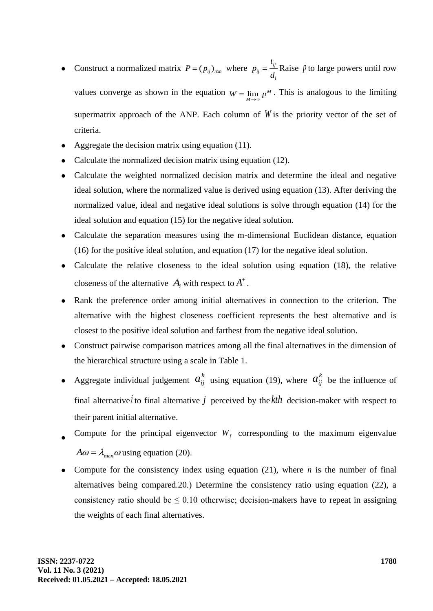- Construct a normalized matrix  $P = (p_{ij})_{n x n}$  where  $p_{ij} = \frac{i_{ij}}{I}$ *ij i t p d*  $=\frac{v_y}{I}$  Raise *l* to large powers until row values converge as shown in the equation  $W = \lim_{M \to \infty} p^M$ . This is analogous to the limiting supermatrix approach of the ANP. Each column of *W* is the priority vector of the set of criteria.
- ⚫ Aggregate the decision matrix using equation (11).
- ⚫ Calculate the normalized decision matrix using equation (12).
- ⚫ Calculate the weighted normalized decision matrix and determine the ideal and negative ideal solution, where the normalized value is derived using equation (13). After deriving the normalized value, ideal and negative ideal solutions is solve through equation (14) for the ideal solution and equation (15) for the negative ideal solution.
- ⚫ Calculate the separation measures using the m-dimensional Euclidean distance, equation (16) for the positive ideal solution, and equation (17) for the negative ideal solution.
- ⚫ Calculate the relative closeness to the ideal solution using equation (18), the relative closeness of the alternative  $A_i$  with respect to  $A^+$ .
- ⚫ Rank the preference order among initial alternatives in connection to the criterion. The alternative with the highest closeness coefficient represents the best alternative and is closest to the positive ideal solution and farthest from the negative ideal solution.
- ⚫ Construct pairwise comparison matrices among all the final alternatives in the dimension of the hierarchical structure using a scale in Table 1.
- Aggregate individual judgement  $a_{ij}^k$  using equation (19), where  $a_{ij}^k$  be the influence of final alternative *i* to final alternative *j* perceived by the  $kth$  decision-maker with respect to their parent initial alternative.
- $\bullet$ Compute for the principal eigenvector  $W_f$  corresponding to the maximum eigenvalue  $A\omega = \lambda_{\text{max}}\omega$  using equation (20).
- Compute for the consistency index using equation  $(21)$ , where *n* is the number of final alternatives being compared.20.) Determine the consistency ratio using equation (22), a consistency ratio should be  $\leq 0.10$  otherwise; decision-makers have to repeat in assigning the weights of each final alternatives.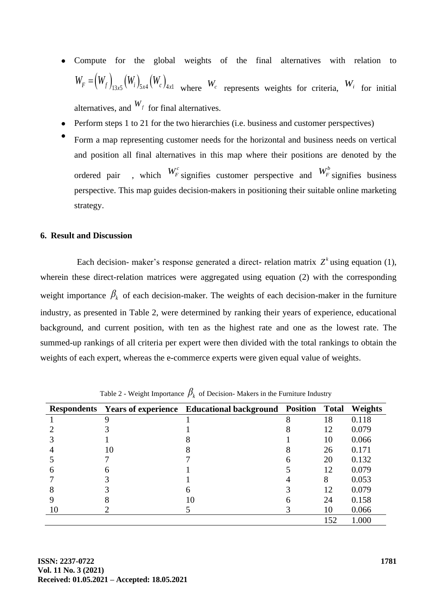- ⚫ Compute for the global weights of the final alternatives with relation to  $W_F = (W_f)_{13x5} (W_i)_{5x4} (W_c)_{4x1}$  where  $W_c$  represents weights for criteria,  $W_i$  for initial alternatives, and  $W_f$  for final alternatives.
- ⚫ Perform steps 1 to 21 for the two hierarchies (i.e. business and customer perspectives)
- $\bullet$ Form a map representing customer needs for the horizontal and business needs on vertical and position all final alternatives in this map where their positions are denoted by the ordered pair  $W_F^c$  signifies customer perspective and  $W_F^b$  signifies business perspective. This map guides decision-makers in positioning their suitable online marketing strategy.

# **6. Result and Discussion**

Each decision- maker's response generated a direct- relation matrix  $Z^k$  using equation (1), wherein these direct-relation matrices were aggregated using equation (2) with the corresponding weight importance  $\beta_k$  of each decision-maker. The weights of each decision-maker in the furniture industry, as presented in Table 2, were determined by ranking their years of experience, educational background, and current position, with ten as the highest rate and one as the lowest rate. The summed-up rankings of all criteria per expert were then divided with the total rankings to obtain the weights of each expert, whereas the e-commerce experts were given equal value of weights.

|    | Respondents Years of experience Educational background Position |   | Total | Weights |
|----|-----------------------------------------------------------------|---|-------|---------|
|    |                                                                 | Λ | 18    | 0.118   |
|    |                                                                 |   | 12    | 0.079   |
|    |                                                                 |   | 10    | 0.066   |
| 10 |                                                                 |   | 26    | 0.171   |
|    |                                                                 |   | 20    | 0.132   |
|    |                                                                 |   | 12    | 0.079   |
|    |                                                                 |   | 8     | 0.053   |
|    |                                                                 |   | 12    | 0.079   |
|    | 10                                                              |   | 24    | 0.158   |
|    |                                                                 |   | 10    | 0.066   |
|    |                                                                 |   | 152   | 1.000   |

Table 2 - Weight Importance  $\beta_k$  of Decision- Makers in the Furniture Industry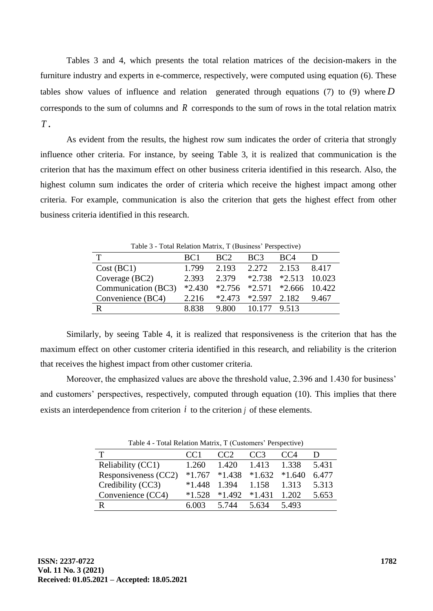Tables 3 and 4, which presents the total relation matrices of the decision-makers in the furniture industry and experts in e-commerce, respectively, were computed using equation (6). These tables show values of influence and relation generated through equations (7) to (9) where *D* corresponds to the sum of columns and *R* corresponds to the sum of rows in the total relation matrix *T .*

As evident from the results, the highest row sum indicates the order of criteria that strongly influence other criteria. For instance, by seeing Table 3, it is realized that communication is the criterion that has the maximum effect on other business criteria identified in this research. Also, the highest column sum indicates the order of criteria which receive the highest impact among other criteria. For example, communication is also the criterion that gets the highest effect from other business criteria identified in this research.

| Table 5 - Total Relation Matrix, 1 (Business Perspective) |                 |             |                         |                                            |       |
|-----------------------------------------------------------|-----------------|-------------|-------------------------|--------------------------------------------|-------|
|                                                           | BC <sub>1</sub> | BC2         | BC <sub>3</sub>         | BC4                                        |       |
| Cost (BC1)                                                | 1.799           | 2.193 2.272 |                         | 2.153                                      | 8.417 |
| Coverage (BC2)                                            | 2.393           | 2.379       |                         | $*2.738$ $*2.513$ 10.023                   |       |
| Communication (BC3)                                       |                 |             |                         | $*2.430$ $*2.756$ $*2.571$ $*2.666$ 10.422 |       |
| Convenience (BC4)                                         | 2.216           |             | $*2.473$ $*2.597$ 2.182 |                                            | 9.467 |
| R                                                         | 8.838           | 9.800       | 10.177 9.513            |                                            |       |

 $T_{\rm eff}$   $\sim$   $T_{\rm eff}$   $\sim$   $T_{\rm eff}$   $\sim$   $T_{\rm eff}$   $\sim$   $T_{\rm eff}$   $\sim$   $T_{\rm eff}$   $\sim$   $\sim$   $T_{\rm eff}$ 

Similarly, by seeing Table 4, it is realized that responsiveness is the criterion that has the maximum effect on other customer criteria identified in this research, and reliability is the criterion that receives the highest impact from other customer criteria.

Moreover, the emphasized values are above the threshold value, 2.396 and 1.430 for business' and customers' perspectives, respectively, computed through equation (10). This implies that there exists an interdependence from criterion  $i$  to the criterion  $j$  of these elements.

| Table 4 - Total Relation Matrix, T (Customers Ferspective) |          |          |                 |          |       |
|------------------------------------------------------------|----------|----------|-----------------|----------|-------|
|                                                            | CCl      | CC2      | CC <sub>3</sub> | CC4      |       |
| Reliability (CC1)                                          | 1.260    | 1.420    | 1.413           | 1.338    | 5.431 |
| Responsiveness (CC2)                                       | $*1.767$ | $*1.438$ | $*1.632$        | $*1.640$ | 6.477 |
| Credibility (CC3)                                          | $*1.448$ | 1.394    | 1.158           | 1.313    | 5.313 |
| Convenience (CC4)                                          | $*1.528$ | $*1.492$ | $*1.431$        | 1.202    | 5.653 |
|                                                            | 6.003    | 5.744    | 5.634           | 5.493    |       |

 $T_{\text{eff}}$   $4 - T_{\text{eff}}$   $D_{\text{eff}}$   $M_{\text{eff}}$ ,  $T$   $(C_{\text{eff}}$   $\ldots$ ,  $D_{\text{center}}$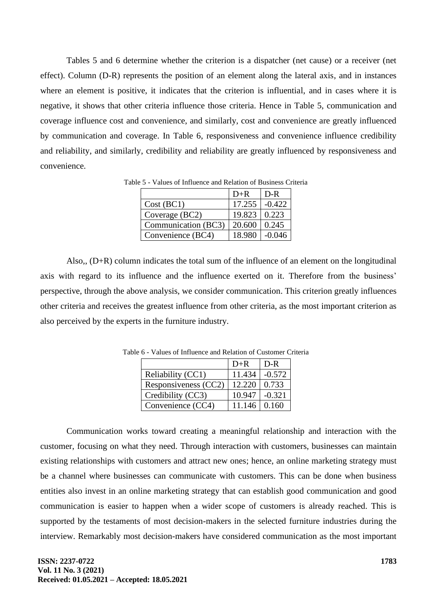Tables 5 and 6 determine whether the criterion is a dispatcher (net cause) or a receiver (net effect). Column (D-R) represents the position of an element along the lateral axis, and in instances where an element is positive, it indicates that the criterion is influential, and in cases where it is negative, it shows that other criteria influence those criteria. Hence in Table 5, communication and coverage influence cost and convenience, and similarly, cost and convenience are greatly influenced by communication and coverage. In Table 6, responsiveness and convenience influence credibility and reliability, and similarly, credibility and reliability are greatly influenced by responsiveness and convenience.

|                     | $D+R$        | D-R      |
|---------------------|--------------|----------|
| Cost (BC1)          | 17.255       | $-0.422$ |
| Coverage (BC2)      | 19.823 0.223 |          |
| Communication (BC3) | 20.600       | 0.245    |
| Convenience (BC4)   | 18.980       | $-0.046$ |

Table 5 - Values of Influence and Relation of Business Criteria

Also,, (D+R) column indicates the total sum of the influence of an element on the longitudinal axis with regard to its influence and the influence exerted on it. Therefore from the business' perspective, through the above analysis, we consider communication. This criterion greatly influences other criteria and receives the greatest influence from other criteria, as the most important criterion as also perceived by the experts in the furniture industry.

|                      | $D+R$               | D-R      |
|----------------------|---------------------|----------|
| Reliability (CC1)    | 11.434              | $-0.572$ |
| Responsiveness (CC2) | 12.220              | 0.733    |
| Credibility (CC3)    | 10.947              | $-0.321$ |
| Convenience (CC4)    | $11.146 \mid 0.160$ |          |

Table 6 - Values of Influence and Relation of Customer Criteria

Communication works toward creating a meaningful relationship and interaction with the customer, focusing on what they need. Through interaction with customers, businesses can maintain existing relationships with customers and attract new ones; hence, an online marketing strategy must be a channel where businesses can communicate with customers. This can be done when business entities also invest in an online marketing strategy that can establish good communication and good communication is easier to happen when a wider scope of customers is already reached. This is supported by the testaments of most decision-makers in the selected furniture industries during the interview. Remarkably most decision-makers have considered communication as the most important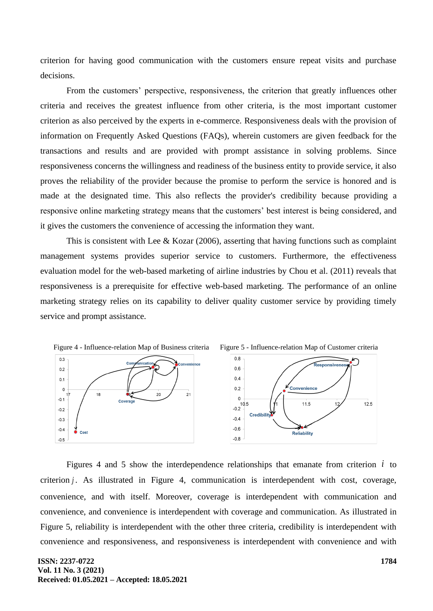criterion for having good communication with the customers ensure repeat visits and purchase decisions.

From the customers' perspective, responsiveness, the criterion that greatly influences other criteria and receives the greatest influence from other criteria, is the most important customer criterion as also perceived by the experts in e-commerce. Responsiveness deals with the provision of information on Frequently Asked Questions (FAQs), wherein customers are given feedback for the transactions and results and are provided with prompt assistance in solving problems. Since responsiveness concerns the willingness and readiness of the business entity to provide service, it also proves the reliability of the provider because the promise to perform the service is honored and is made at the designated time. This also reflects the provider's credibility because providing a responsive online marketing strategy means that the customers' best interest is being considered, and it gives the customers the convenience of accessing the information they want.

This is consistent with Lee & Kozar  $(2006)$ , asserting that having functions such as complaint management systems provides superior service to customers. Furthermore, the effectiveness evaluation model for the web-based marketing of airline industries by Chou et al. (2011) reveals that responsiveness is a prerequisite for effective web-based marketing. The performance of an online marketing strategy relies on its capability to deliver quality customer service by providing timely service and prompt assistance.



Figures 4 and 5 show the interdependence relationships that emanate from criterion  $i$  to criterion *j* . As illustrated in Figure 4, communication is interdependent with cost, coverage, convenience, and with itself. Moreover, coverage is interdependent with communication and convenience, and convenience is interdependent with coverage and communication. As illustrated in Figure 5, reliability is interdependent with the other three criteria, credibility is interdependent with convenience and responsiveness, and responsiveness is interdependent with convenience and with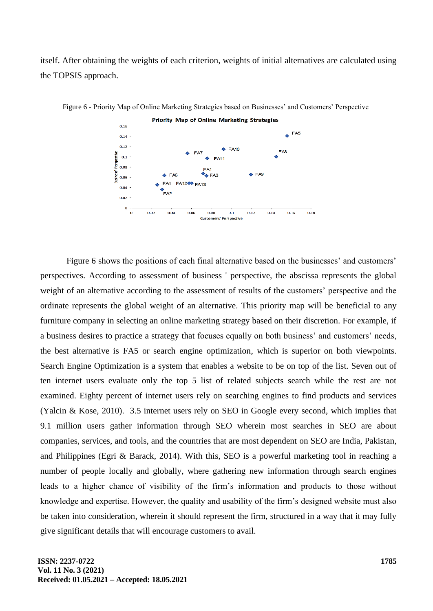itself. After obtaining the weights of each criterion, weights of initial alternatives are calculated using the TOPSIS approach.



Figure 6 - Priority Map of Online Marketing Strategies based on Businesses' and Customers' Perspective

Figure 6 shows the positions of each final alternative based on the businesses' and customers' perspectives. According to assessment of business ' perspective, the abscissa represents the global weight of an alternative according to the assessment of results of the customers' perspective and the ordinate represents the global weight of an alternative. This priority map will be beneficial to any furniture company in selecting an online marketing strategy based on their discretion. For example, if a business desires to practice a strategy that focuses equally on both business' and customers' needs, the best alternative is FA5 or search engine optimization, which is superior on both viewpoints. Search Engine Optimization is a system that enables a website to be on top of the list. Seven out of ten internet users evaluate only the top 5 list of related subjects search while the rest are not examined. Eighty percent of internet users rely on searching engines to find products and services (Yalcin & Kose, 2010). 3.5 internet users rely on SEO in Google every second, which implies that 9.1 million users gather information through SEO wherein most searches in SEO are about companies, services, and tools, and the countries that are most dependent on SEO are India, Pakistan, and Philippines (Egri & Barack, 2014). With this, SEO is a powerful marketing tool in reaching a number of people locally and globally, where gathering new information through search engines leads to a higher chance of visibility of the firm's information and products to those without knowledge and expertise. However, the quality and usability of the firm's designed website must also be taken into consideration, wherein it should represent the firm, structured in a way that it may fully give significant details that will encourage customers to avail.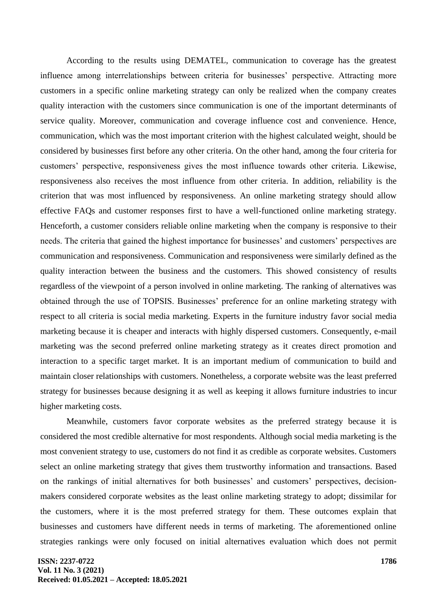According to the results using DEMATEL, communication to coverage has the greatest influence among interrelationships between criteria for businesses' perspective. Attracting more customers in a specific online marketing strategy can only be realized when the company creates quality interaction with the customers since communication is one of the important determinants of service quality. Moreover, communication and coverage influence cost and convenience. Hence, communication, which was the most important criterion with the highest calculated weight, should be considered by businesses first before any other criteria. On the other hand, among the four criteria for customers' perspective, responsiveness gives the most influence towards other criteria. Likewise, responsiveness also receives the most influence from other criteria. In addition, reliability is the criterion that was most influenced by responsiveness. An online marketing strategy should allow effective FAQs and customer responses first to have a well-functioned online marketing strategy. Henceforth, a customer considers reliable online marketing when the company is responsive to their needs. The criteria that gained the highest importance for businesses' and customers' perspectives are communication and responsiveness. Communication and responsiveness were similarly defined as the quality interaction between the business and the customers. This showed consistency of results regardless of the viewpoint of a person involved in online marketing. The ranking of alternatives was obtained through the use of TOPSIS. Businesses' preference for an online marketing strategy with respect to all criteria is social media marketing. Experts in the furniture industry favor social media marketing because it is cheaper and interacts with highly dispersed customers. Consequently, e-mail marketing was the second preferred online marketing strategy as it creates direct promotion and interaction to a specific target market. It is an important medium of communication to build and maintain closer relationships with customers. Nonetheless, a corporate website was the least preferred strategy for businesses because designing it as well as keeping it allows furniture industries to incur higher marketing costs.

Meanwhile, customers favor corporate websites as the preferred strategy because it is considered the most credible alternative for most respondents. Although social media marketing is the most convenient strategy to use, customers do not find it as credible as corporate websites. Customers select an online marketing strategy that gives them trustworthy information and transactions. Based on the rankings of initial alternatives for both businesses' and customers' perspectives, decisionmakers considered corporate websites as the least online marketing strategy to adopt; dissimilar for the customers, where it is the most preferred strategy for them. These outcomes explain that businesses and customers have different needs in terms of marketing. The aforementioned online strategies rankings were only focused on initial alternatives evaluation which does not permit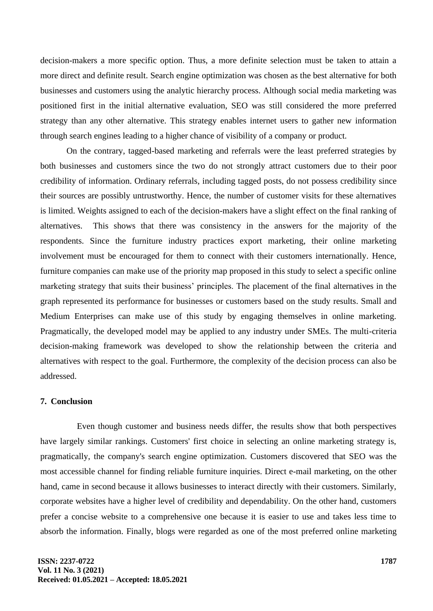decision-makers a more specific option. Thus, a more definite selection must be taken to attain a more direct and definite result. Search engine optimization was chosen as the best alternative for both businesses and customers using the analytic hierarchy process. Although social media marketing was positioned first in the initial alternative evaluation, SEO was still considered the more preferred strategy than any other alternative. This strategy enables internet users to gather new information through search engines leading to a higher chance of visibility of a company or product.

On the contrary, tagged-based marketing and referrals were the least preferred strategies by both businesses and customers since the two do not strongly attract customers due to their poor credibility of information. Ordinary referrals, including tagged posts, do not possess credibility since their sources are possibly untrustworthy. Hence, the number of customer visits for these alternatives is limited. Weights assigned to each of the decision-makers have a slight effect on the final ranking of alternatives. This shows that there was consistency in the answers for the majority of the respondents. Since the furniture industry practices export marketing, their online marketing involvement must be encouraged for them to connect with their customers internationally. Hence, furniture companies can make use of the priority map proposed in this study to select a specific online marketing strategy that suits their business' principles. The placement of the final alternatives in the graph represented its performance for businesses or customers based on the study results. Small and Medium Enterprises can make use of this study by engaging themselves in online marketing. Pragmatically, the developed model may be applied to any industry under SMEs. The multi-criteria decision-making framework was developed to show the relationship between the criteria and alternatives with respect to the goal. Furthermore, the complexity of the decision process can also be addressed.

# **7. Conclusion**

Even though customer and business needs differ, the results show that both perspectives have largely similar rankings. Customers' first choice in selecting an online marketing strategy is, pragmatically, the company's search engine optimization. Customers discovered that SEO was the most accessible channel for finding reliable furniture inquiries. Direct e-mail marketing, on the other hand, came in second because it allows businesses to interact directly with their customers. Similarly, corporate websites have a higher level of credibility and dependability. On the other hand, customers prefer a concise website to a comprehensive one because it is easier to use and takes less time to absorb the information. Finally, blogs were regarded as one of the most preferred online marketing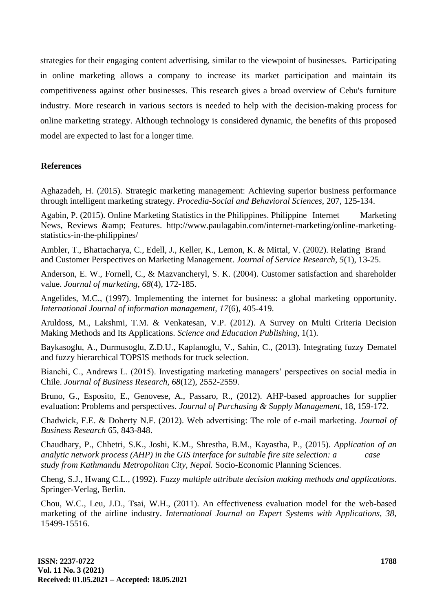strategies for their engaging content advertising, similar to the viewpoint of businesses. Participating in online marketing allows a company to increase its market participation and maintain its competitiveness against other businesses. This research gives a broad overview of Cebu's furniture industry. More research in various sectors is needed to help with the decision-making process for online marketing strategy. Although technology is considered dynamic, the benefits of this proposed model are expected to last for a longer time.

# **References**

Aghazadeh, H. (2015). Strategic marketing management: Achieving superior business performance through intelligent marketing strategy. *Procedia-Social and Behavioral Sciences,* 207, 125-134.

Agabin, P. (2015). Online Marketing Statistics in the Philippines. Philippine Internet Marketing News, Reviews & amp; Features. http://www.paulagabin.com/internet-marketing/online-marketingstatistics-in-the-philippines/

Ambler, T., Bhattacharya, C., Edell, J., Keller, K., Lemon, K. & Mittal, V. (2002). Relating Brand and Customer Perspectives on Marketing Management. *Journal of Service Research, 5*(1), 13-25.

Anderson, E. W., Fornell, C., & Mazvancheryl, S. K. (2004). Customer satisfaction and shareholder value. *Journal of marketing, 68*(4), 172-185.

Angelides, M.C., (1997). Implementing the internet for business: a global marketing opportunity. *International Journal of information management, 17*(6), 405-419.

Aruldoss, M., Lakshmi, T.M. & Venkatesan, V.P. (2012). A Survey on Multi Criteria Decision Making Methods and Its Applications. *Science and Education Publishing,* 1(1).

Baykasoglu, A., Durmusoglu, Z.D.U., Kaplanoglu, V., Sahin, C., (2013). Integrating fuzzy Dematel and fuzzy hierarchical TOPSIS methods for truck selection.

Bianchi, C., Andrews L. (2015). Investigating marketing managers' perspectives on social media in Chile. *Journal of Business Research, 68*(12), 2552-2559.

Bruno, G., Esposito, E., Genovese, A., Passaro, R., (2012). AHP-based approaches for supplier evaluation: Problems and perspectives. *Journal of Purchasing & Supply Management,* 18, 159-172.

Chadwick, F.E. & Doherty N.F. (2012). Web advertising: The role of e-mail marketing. *Journal of Business Research* 65, 843-848.

Chaudhary, P., Chhetri, S.K., Joshi, K.M., Shrestha, B.M., Kayastha, P., (2015). *Application of an analytic network process (AHP) in the GIS interface for suitable fire site selection: a case study from Kathmandu Metropolitan City, Nepal.* Socio-Economic Planning Sciences.

Cheng, S.J., Hwang C.L., (1992). *Fuzzy multiple attribute decision making methods and applications.* Springer-Verlag, Berlin.

Chou, W.C., Leu, J.D., Tsai, W.H., (2011). An effectiveness evaluation model for the web-based marketing of the airline industry. *International Journal on Expert Systems with Applications, 38,* 15499-15516.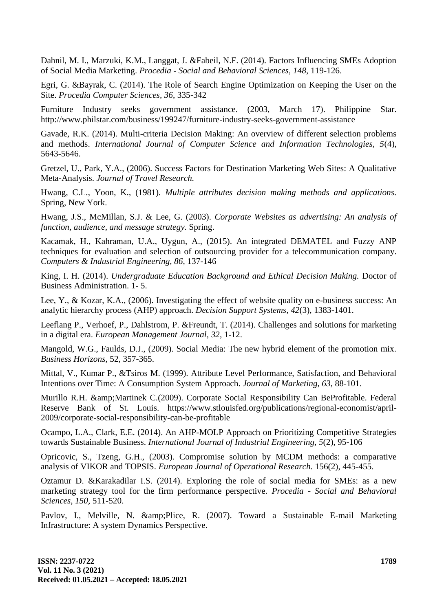Dahnil, M. I., Marzuki, K.M., Langgat, J. &Fabeil, N.F. (2014). Factors Influencing SMEs Adoption of Social Media Marketing. *Procedia - Social and Behavioral Sciences, 148*, 119-126.

Egri, G. &Bayrak, C. (2014). The Role of Search Engine Optimization on Keeping the User on the Site. *Procedia Computer Sciences, 36*, 335-342

Furniture Industry seeks government assistance. (2003, March 17). Philippine Star. http://www.philstar.com/business/199247/furniture-industry-seeks-government-assistance

Gavade, R.K. (2014). Multi-criteria Decision Making: An overview of different selection problems and methods. *International Journal of Computer Science and Information Technologies, 5*(4), 5643-5646.

Gretzel, U., Park, Y.A., (2006). Success Factors for Destination Marketing Web Sites: A Qualitative Meta-Analysis. *Journal of Travel Research.*

Hwang, C.L., Yoon, K., (1981). *Multiple attributes decision making methods and applications.* Spring, New York.

Hwang, J.S., McMillan, S.J. & Lee, G. (2003). *Corporate Websites as advertising: An analysis of function, audience, and message strategy.* Spring.

Kacamak, H., Kahraman, U.A., Uygun, A., (2015). An integrated DEMATEL and Fuzzy ANP techniques for evaluation and selection of outsourcing provider for a telecommunication company. *Computers & Industrial Engineering, 86,* 137-146

King, I. H. (2014). *Undergraduate Education Background and Ethical Decision Making.* Doctor of Business Administration. 1- 5.

Lee, Y., & Kozar, K.A., (2006). Investigating the effect of website quality on e-business success: An analytic hierarchy process (AHP) approach. *Decision Support Systems, 42*(3), 1383-1401.

Leeflang P., Verhoef, P., Dahlstrom, P. &Freundt, T. (2014). Challenges and solutions for marketing in a digital era. *European Management Journal, 32*, 1-12.

Mangold, W.G., Faulds, D.J., (2009). Social Media: The new hybrid element of the promotion mix. *Business Horizons,* 52, 357-365.

Mittal, V., Kumar P., &Tsiros M. (1999). Attribute Level Performance, Satisfaction, and Behavioral Intentions over Time: A Consumption System Approach. *Journal of Marketing, 63,* 88-101.

Murillo R.H. &Martinek C.(2009). Corporate Social Responsibility Can BeProfitable. Federal Reserve Bank of St. Louis. https://www.stlouisfed.org/publications/regional-economist/april-2009/corporate-social-responsibility-can-be-profitable

Ocampo, L.A., Clark, E.E. (2014). An AHP-MOLP Approach on Prioritizing Competitive Strategies towards Sustainable Business. *International Journal of Industrial Engineering, 5*(2), 95-106

Opricovic, S., Tzeng, G.H., (2003). Compromise solution by MCDM methods: a comparative analysis of VIKOR and TOPSIS. *European Journal of Operational Research.* 156(2), 445-455.

Oztamur D. &Karakadilar I.S. (2014). Exploring the role of social media for SMEs: as a new marketing strategy tool for the firm performance perspective. *Procedia - Social and Behavioral Sciences, 150*, 511-520.

Pavlov, I., Melville, N. & Plice, R. (2007). Toward a Sustainable E-mail Marketing Infrastructure: A system Dynamics Perspective.